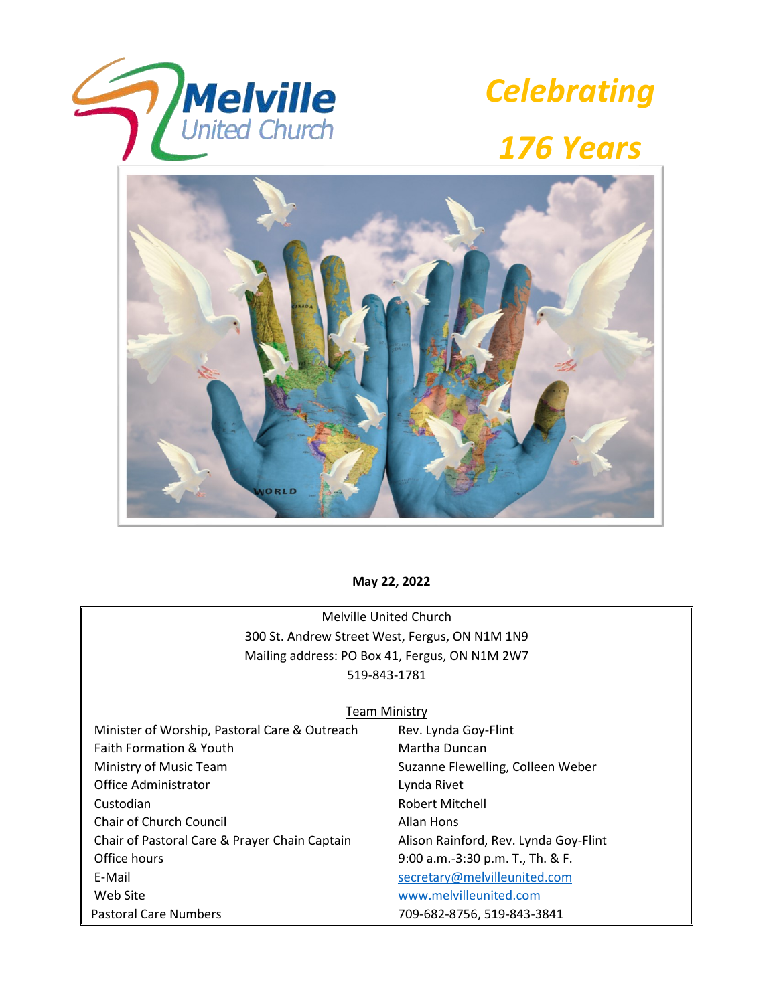



# *176 Years*



# **May 22, 2022**

Melville United Church 300 St. Andrew Street West, Fergus, ON N1M 1N9 Mailing address: PO Box 41, Fergus, ON N1M 2W7 519-843-1781

#### Team Ministry

| Minister of Worship, Pastoral Care & Outreach | Rev. Lynda Goy-Flint                  |
|-----------------------------------------------|---------------------------------------|
| Faith Formation & Youth                       | Martha Duncan                         |
| Ministry of Music Team                        | Suzanne Flewelling, Colleen Weber     |
| Office Administrator                          | Lynda Rivet                           |
| Custodian                                     | <b>Robert Mitchell</b>                |
| <b>Chair of Church Council</b>                | Allan Hons                            |
| Chair of Pastoral Care & Prayer Chain Captain | Alison Rainford, Rev. Lynda Goy-Flint |
| Office hours                                  | 9:00 a.m.-3:30 p.m. T., Th. & F.      |
| E-Mail                                        | secretary@melvilleunited.com          |
| Web Site                                      | www.melvilleunited.com                |
| <b>Pastoral Care Numbers</b>                  | 709-682-8756, 519-843-3841            |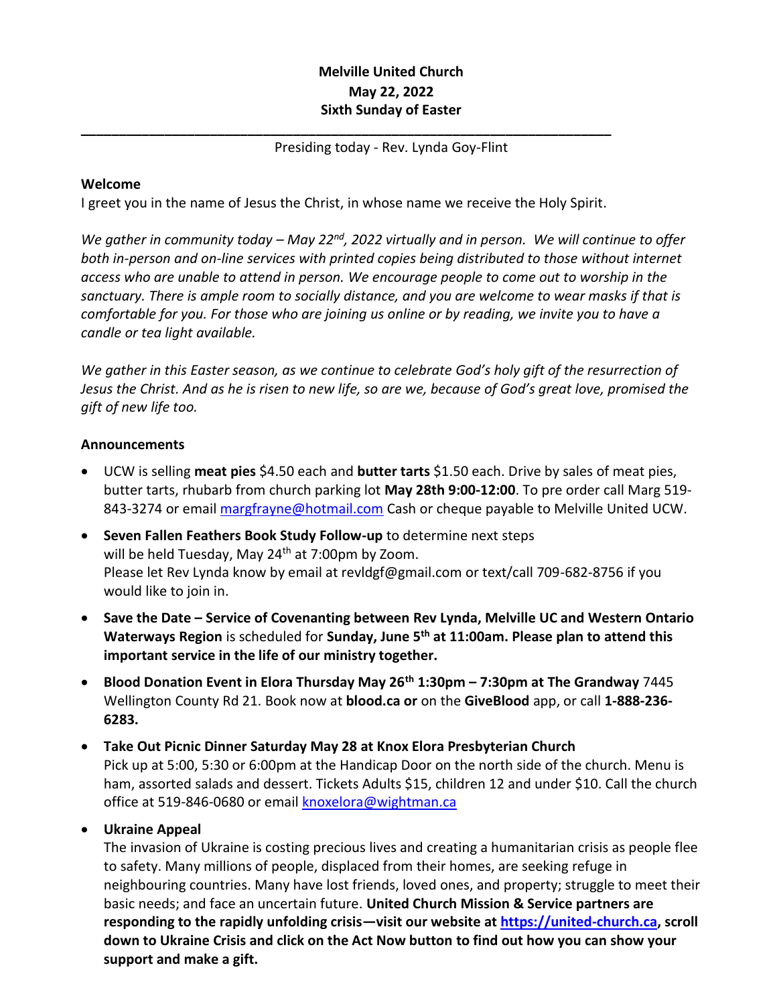# **Melville United Church May 22, 2022 Sixth Sunday of Easter**

# Presiding today - Rev. Lynda Goy-Flint

### **Welcome**

I greet you in the name of Jesus the Christ, in whose name we receive the Holy Spirit.

**\_\_\_\_\_\_\_\_\_\_\_\_\_\_\_\_\_\_\_\_\_\_\_\_\_\_\_\_\_\_\_\_\_\_\_\_\_\_\_\_\_\_\_\_\_\_\_\_\_\_\_\_\_\_\_\_\_\_\_\_\_\_\_\_\_\_\_\_\_\_**

*We gather in community today – May 22nd, 2022 virtually and in person. We will continue to offer both in-person and on-line services with printed copies being distributed to those without internet access who are unable to attend in person. We encourage people to come out to worship in the sanctuary. There is ample room to socially distance, and you are welcome to wear masks if that is comfortable for you. For those who are joining us online or by reading, we invite you to have a candle or tea light available.*

*We gather in this Easter season, as we continue to celebrate God's holy gift of the resurrection of Jesus the Christ. And as he is risen to new life, so are we, because of God's great love, promised the gift of new life too.*

#### **Announcements**

- UCW is selling **meat pies** \$4.50 each and **butter tarts** \$1.50 each. Drive by sales of meat pies, butter tarts, rhubarb from church parking lot **May 28th 9:00-12:00**. To pre order call Marg 519 843-3274 or email [margfrayne@hotmail.com](mailto:margfrayne@hotmail.com) Cash or cheque payable to Melville United UCW.
- **Seven Fallen Feathers Book Study Follow-up** to determine next steps will be held Tuesday, May  $24<sup>th</sup>$  at 7:00pm by Zoom. Please let Rev Lynda know by email at revldgf@gmail.com or text/call 709-682-8756 if you would like to join in.
- **Save the Date – Service of Covenanting between Rev Lynda, Melville UC and Western Ontario Waterways Region** is scheduled for **Sunday, June 5th at 11:00am. Please plan to attend this important service in the life of our ministry together.**
- **Blood Donation Event in Elora Thursday May 26th 1:30pm – 7:30pm at The Grandway** 7445 Wellington County Rd 21. Book now at **blood.ca or** on the **GiveBlood** app, or call **1-888-236- 6283.**
- **Take Out Picnic Dinner Saturday May 28 at Knox Elora Presbyterian Church** Pick up at 5:00, 5:30 or 6:00pm at the Handicap Door on the north side of the church. Menu is ham, assorted salads and dessert. Tickets Adults \$15, children 12 and under \$10. Call the church office at 519-846-0680 or email [knoxelora@wightman.ca](mailto:knoxelora@wightman.ca)
- **Ukraine Appeal**

The invasion of Ukraine is costing precious lives and creating a humanitarian crisis as people flee to safety. Many millions of people, displaced from their homes, are seeking refuge in neighbouring countries. Many have lost friends, loved ones, and property; struggle to meet their basic needs; and face an uncertain future. **United Church Mission & Service partners are responding to the rapidly unfolding crisis—visit our website at [https://united-church.ca,](https://united-church.ca/) scroll down to Ukraine Crisis and click on the Act Now button to find out how you can show your support and make a gift.**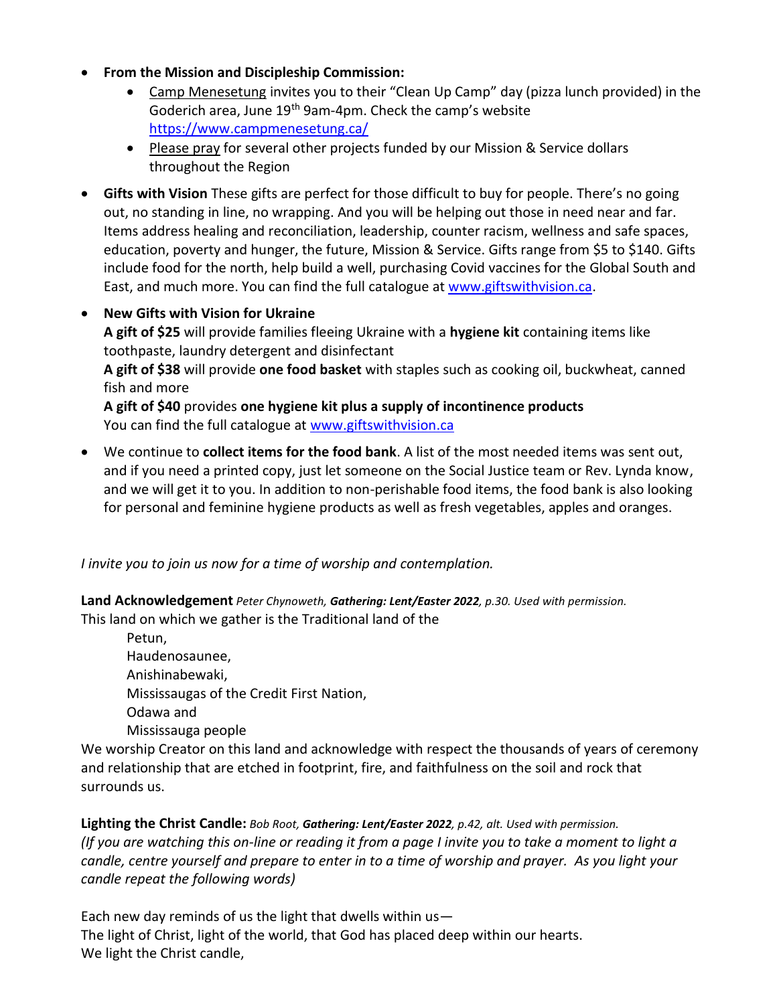- **From the Mission and Discipleship Commission:**
	- Camp Menesetung invites you to their "Clean Up Camp" day (pizza lunch provided) in the Goderich area, June 19th 9am-4pm. Check the camp's website <https://www.campmenesetung.ca/>
	- Please pray for several other projects funded by our Mission & Service dollars throughout the Region
- **Gifts with Vision** These gifts are perfect for those difficult to buy for people. There's no going out, no standing in line, no wrapping. And you will be helping out those in need near and far. Items address healing and reconciliation, leadership, counter racism, wellness and safe spaces, education, poverty and hunger, the future, Mission & Service. Gifts range from \$5 to \$140. Gifts include food for the north, help build a well, purchasing Covid vaccines for the Global South and East, and much more. You can find the full catalogue at [www.giftswithvision.ca.](http://www.giftswithvision.ca/)
- **New Gifts with Vision for Ukraine A gift of \$25** will provide families fleeing Ukraine with a **hygiene kit** containing items like toothpaste, laundry detergent and disinfectant **A gift of \$38** will provide **one food basket** with staples such as cooking oil, buckwheat, canned fish and more **A gift of \$40** provides **one hygiene kit plus a supply of incontinence products** You can find the full catalogue at [www.giftswithvision.ca](http://www.giftswithvision.ca/)
- We continue to **collect items for the food bank**. A list of the most needed items was sent out, and if you need a printed copy, just let someone on the Social Justice team or Rev. Lynda know, and we will get it to you. In addition to non-perishable food items, the food bank is also looking for personal and feminine hygiene products as well as fresh vegetables, apples and oranges.

*I invite you to join us now for a time of worship and contemplation.*

**Land Acknowledgement** *Peter Chynoweth, Gathering: Lent/Easter 2022, p.30. Used with permission.* This land on which we gather is the Traditional land of the

Petun, Haudenosaunee, Anishinabewaki, Mississaugas of the Credit First Nation, Odawa and Mississauga people

We worship Creator on this land and acknowledge with respect the thousands of years of ceremony and relationship that are etched in footprint, fire, and faithfulness on the soil and rock that surrounds us.

**Lighting the Christ Candle:** *Bob Root, Gathering: Lent/Easter 2022, p.42, alt. Used with permission. (If you are watching this on-line or reading it from a page I invite you to take a moment to light a candle, centre yourself and prepare to enter in to a time of worship and prayer. As you light your candle repeat the following words)*

Each new day reminds of us the light that dwells within  $us-$ The light of Christ, light of the world, that God has placed deep within our hearts. We light the Christ candle,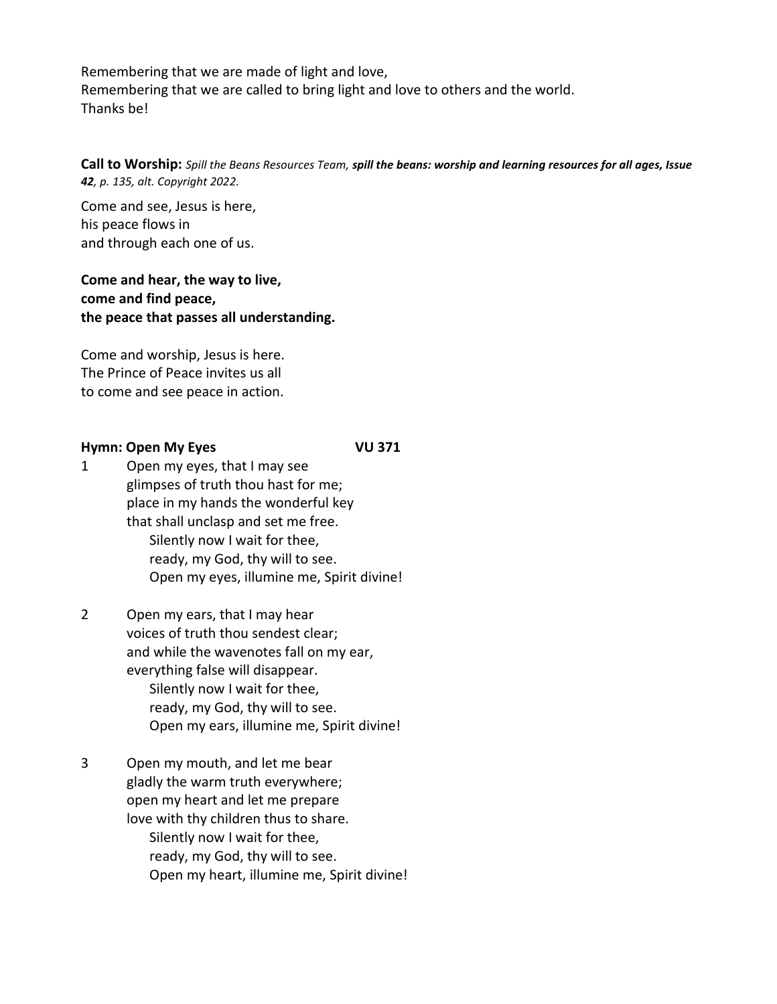Remembering that we are made of light and love, Remembering that we are called to bring light and love to others and the world. Thanks be!

**Call to Worship:** *Spill the Beans Resources Team, spill the beans: worship and learning resources for all ages, Issue 42, p. 135, alt. Copyright 2022.*

Come and see, Jesus is here, his peace flows in and through each one of us.

**Come and hear, the way to live, come and find peace, the peace that passes all understanding.**

Come and worship, Jesus is here. The Prince of Peace invites us all to come and see peace in action.

#### **Hymn: Open My Eyes VU 371**

- 1 Open my eyes, that I may see glimpses of truth thou hast for me; place in my hands the wonderful key that shall unclasp and set me free. Silently now I wait for thee, ready, my God, thy will to see. Open my eyes, illumine me, Spirit divine!
- 2 Open my ears, that I may hear voices of truth thou sendest clear; and while the wavenotes fall on my ear, everything false will disappear. Silently now I wait for thee, ready, my God, thy will to see. Open my ears, illumine me, Spirit divine!
- 3 Open my mouth, and let me bear gladly the warm truth everywhere; open my heart and let me prepare love with thy children thus to share. Silently now I wait for thee, ready, my God, thy will to see. Open my heart, illumine me, Spirit divine!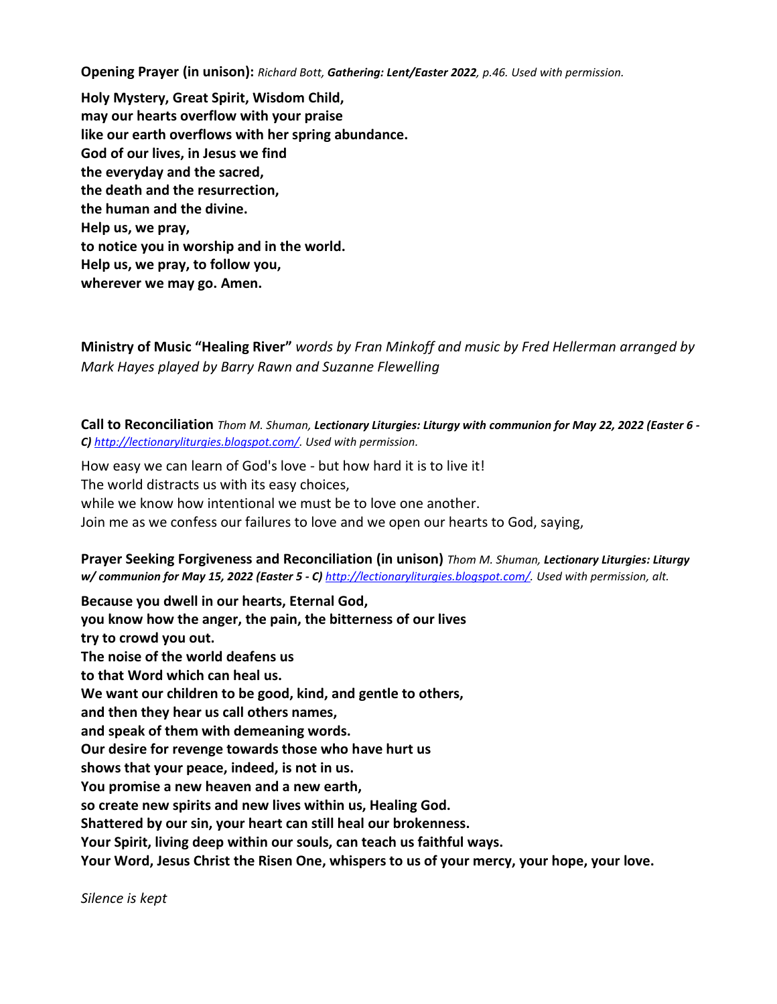**Opening Prayer (in unison):** *Richard Bott, Gathering: Lent/Easter 2022, p.46. Used with permission.*

**Holy Mystery, Great Spirit, Wisdom Child, may our hearts overflow with your praise like our earth overflows with her spring abundance. God of our lives, in Jesus we find the everyday and the sacred, the death and the resurrection, the human and the divine. Help us, we pray, to notice you in worship and in the world. Help us, we pray, to follow you, wherever we may go. Amen.**

**Ministry of Music "Healing River"** *words by Fran Minkoff and music by Fred Hellerman arranged by Mark Hayes played by Barry Rawn and Suzanne Flewelling*

**Call to Reconciliation** *Thom M. Shuman, Lectionary Liturgies: Liturgy with communion for May 22, 2022 (Easter 6 - C) [http://lectionaryliturgies.blogspot.com/.](http://lectionaryliturgies.blogspot.com/) Used with permission.*

How easy we can learn of God's love - but how hard it is to live it! The world distracts us with its easy choices, while we know how intentional we must be to love one another. Join me as we confess our failures to love and we open our hearts to God, saying,

**Prayer Seeking Forgiveness and Reconciliation (in unison)** *Thom M. Shuman, Lectionary Liturgies: Liturgy w/ communion for May 15, 2022 (Easter 5 - C) [http://lectionaryliturgies.blogspot.com/.](http://lectionaryliturgies.blogspot.com/) Used with permission, alt.*

**Because you dwell in our hearts, Eternal God, you know how the anger, the pain, the bitterness of our lives try to crowd you out. The noise of the world deafens us to that Word which can heal us. We want our children to be good, kind, and gentle to others, and then they hear us call others names, and speak of them with demeaning words. Our desire for revenge towards those who have hurt us shows that your peace, indeed, is not in us. You promise a new heaven and a new earth, so create new spirits and new lives within us, Healing God. Shattered by our sin, your heart can still heal our brokenness. Your Spirit, living deep within our souls, can teach us faithful ways. Your Word, Jesus Christ the Risen One, whispers to us of your mercy, your hope, your love.**

*Silence is kept*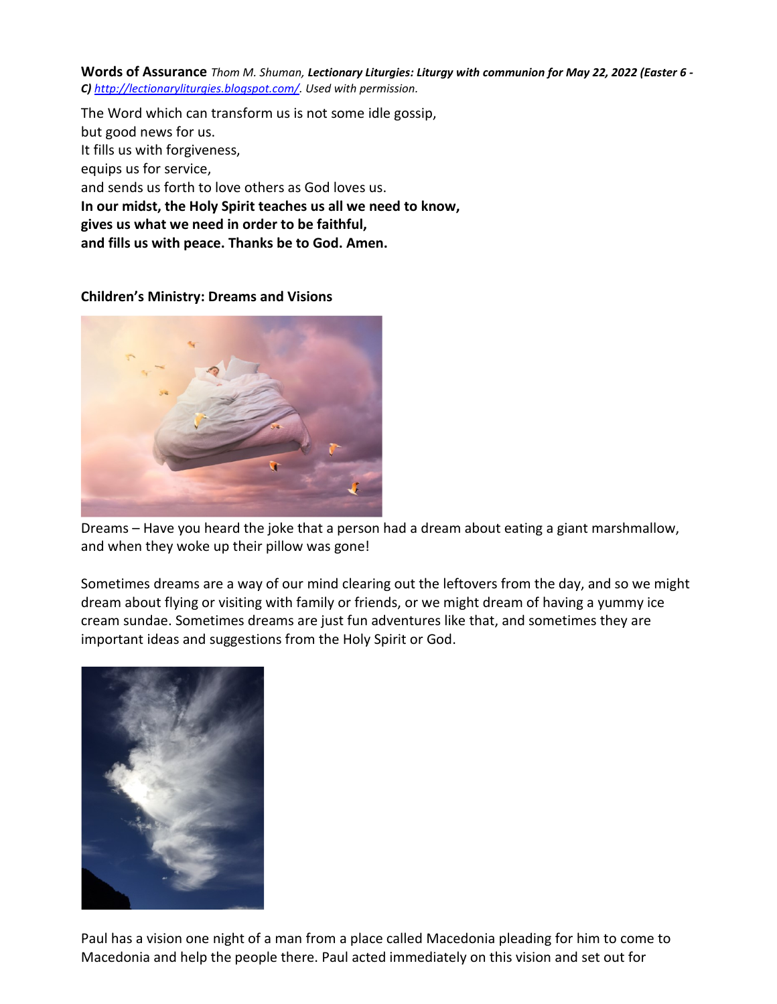**Words of Assurance** *Thom M. Shuman, Lectionary Liturgies: Liturgy with communion for May 22, 2022 (Easter 6 - C) [http://lectionaryliturgies.blogspot.com/.](http://lectionaryliturgies.blogspot.com/) Used with permission.*

The Word which can transform us is not some idle gossip, but good news for us. It fills us with forgiveness, equips us for service, and sends us forth to love others as God loves us. **In our midst, the Holy Spirit teaches us all we need to know, gives us what we need in order to be faithful, and fills us with peace. Thanks be to God. Amen.**

# **Children's Ministry: Dreams and Visions**



Dreams – Have you heard the joke that a person had a dream about eating a giant marshmallow, and when they woke up their pillow was gone!

Sometimes dreams are a way of our mind clearing out the leftovers from the day, and so we might dream about flying or visiting with family or friends, or we might dream of having a yummy ice cream sundae. Sometimes dreams are just fun adventures like that, and sometimes they are important ideas and suggestions from the Holy Spirit or God.



Paul has a vision one night of a man from a place called Macedonia pleading for him to come to Macedonia and help the people there. Paul acted immediately on this vision and set out for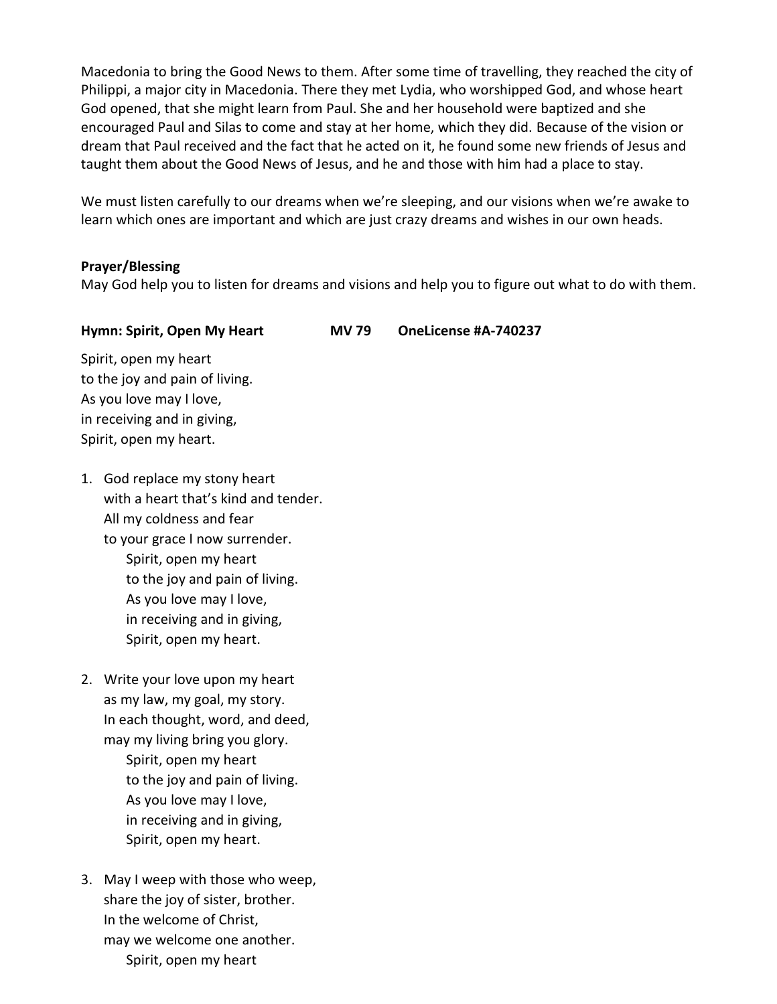Macedonia to bring the Good News to them. After some time of travelling, they reached the city of Philippi, a major city in Macedonia. There they met Lydia, who worshipped God, and whose heart God opened, that she might learn from Paul. She and her household were baptized and she encouraged Paul and Silas to come and stay at her home, which they did. Because of the vision or dream that Paul received and the fact that he acted on it, he found some new friends of Jesus and taught them about the Good News of Jesus, and he and those with him had a place to stay.

We must listen carefully to our dreams when we're sleeping, and our visions when we're awake to learn which ones are important and which are just crazy dreams and wishes in our own heads.

# **Prayer/Blessing**

May God help you to listen for dreams and visions and help you to figure out what to do with them.

# **Hymn: Spirit, Open My Heart MV 79 OneLicense #A-740237**

Spirit, open my heart to the joy and pain of living. As you love may I love, in receiving and in giving, Spirit, open my heart.

- 1. God replace my stony heart with a heart that's kind and tender. All my coldness and fear to your grace I now surrender. Spirit, open my heart to the joy and pain of living. As you love may I love, in receiving and in giving, Spirit, open my heart.
- 2. Write your love upon my heart as my law, my goal, my story. In each thought, word, and deed, may my living bring you glory. Spirit, open my heart to the joy and pain of living. As you love may I love, in receiving and in giving, Spirit, open my heart.
- 3. May I weep with those who weep, share the joy of sister, brother. In the welcome of Christ, may we welcome one another. Spirit, open my heart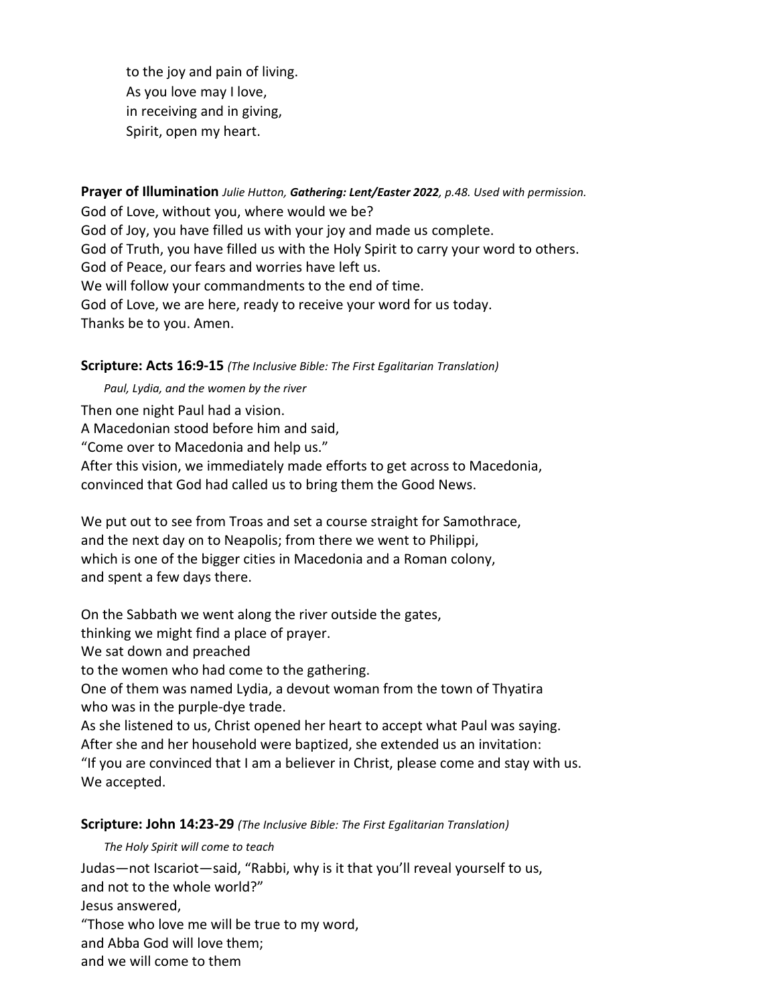to the joy and pain of living. As you love may I love, in receiving and in giving, Spirit, open my heart.

**Prayer of Illumination** *Julie Hutton, Gathering: Lent/Easter 2022, p.48. Used with permission.*  God of Love, without you, where would we be? God of Joy, you have filled us with your joy and made us complete. God of Truth, you have filled us with the Holy Spirit to carry your word to others. God of Peace, our fears and worries have left us. We will follow your commandments to the end of time. God of Love, we are here, ready to receive your word for us today. Thanks be to you. Amen.

**Scripture: Acts 16:9-15** *(The Inclusive Bible: The First Egalitarian Translation)*

*Paul, Lydia, and the women by the river*

Then one night Paul had a vision. A Macedonian stood before him and said, "Come over to Macedonia and help us." After this vision, we immediately made efforts to get across to Macedonia, convinced that God had called us to bring them the Good News.

We put out to see from Troas and set a course straight for Samothrace, and the next day on to Neapolis; from there we went to Philippi, which is one of the bigger cities in Macedonia and a Roman colony, and spent a few days there.

On the Sabbath we went along the river outside the gates,

thinking we might find a place of prayer.

We sat down and preached

to the women who had come to the gathering.

One of them was named Lydia, a devout woman from the town of Thyatira who was in the purple-dye trade.

As she listened to us, Christ opened her heart to accept what Paul was saying. After she and her household were baptized, she extended us an invitation: "If you are convinced that I am a believer in Christ, please come and stay with us. We accepted.

# **Scripture: John 14:23-29** *(The Inclusive Bible: The First Egalitarian Translation)*

*The Holy Spirit will come to teach*

Judas—not Iscariot—said, "Rabbi, why is it that you'll reveal yourself to us, and not to the whole world?" Jesus answered, "Those who love me will be true to my word, and Abba God will love them; and we will come to them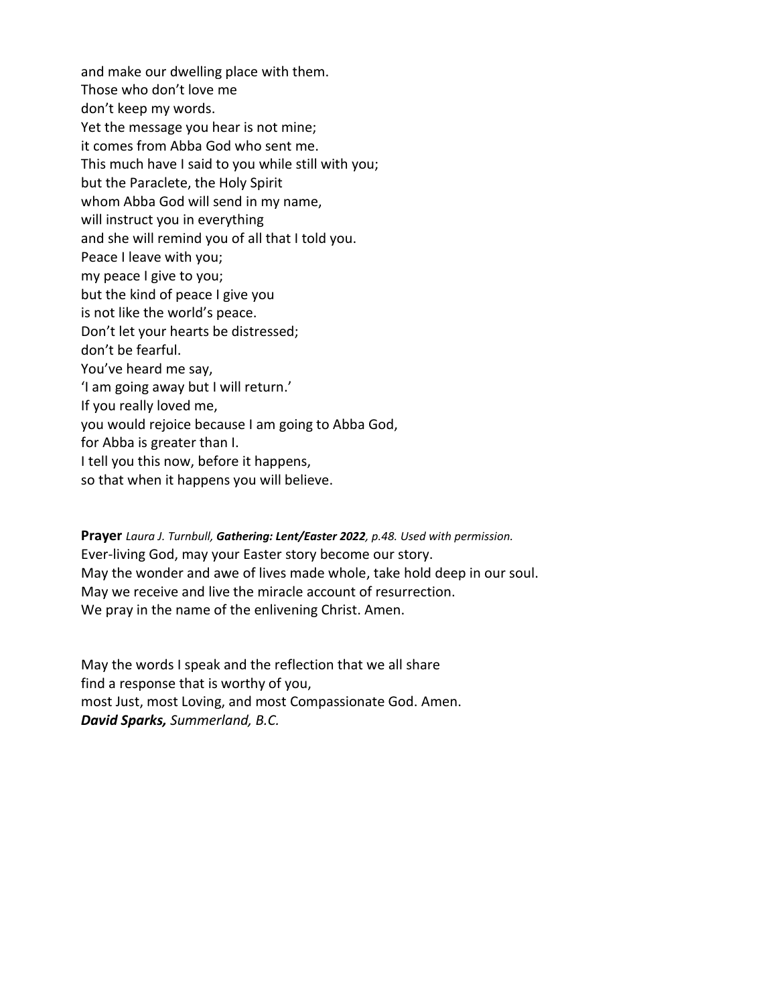and make our dwelling place with them. Those who don't love me don't keep my words. Yet the message you hear is not mine; it comes from Abba God who sent me. This much have I said to you while still with you; but the Paraclete, the Holy Spirit whom Abba God will send in my name, will instruct you in everything and she will remind you of all that I told you. Peace I leave with you; my peace I give to you; but the kind of peace I give you is not like the world's peace. Don't let your hearts be distressed; don't be fearful. You've heard me say, 'I am going away but I will return.' If you really loved me, you would rejoice because I am going to Abba God, for Abba is greater than I. I tell you this now, before it happens, so that when it happens you will believe.

**Prayer** *Laura J. Turnbull, Gathering: Lent/Easter 2022, p.48. Used with permission.* Ever-living God, may your Easter story become our story. May the wonder and awe of lives made whole, take hold deep in our soul. May we receive and live the miracle account of resurrection. We pray in the name of the enlivening Christ. Amen.

May the words I speak and the reflection that we all share find a response that is worthy of you, most Just, most Loving, and most Compassionate God. Amen. *David Sparks, Summerland, B.C.*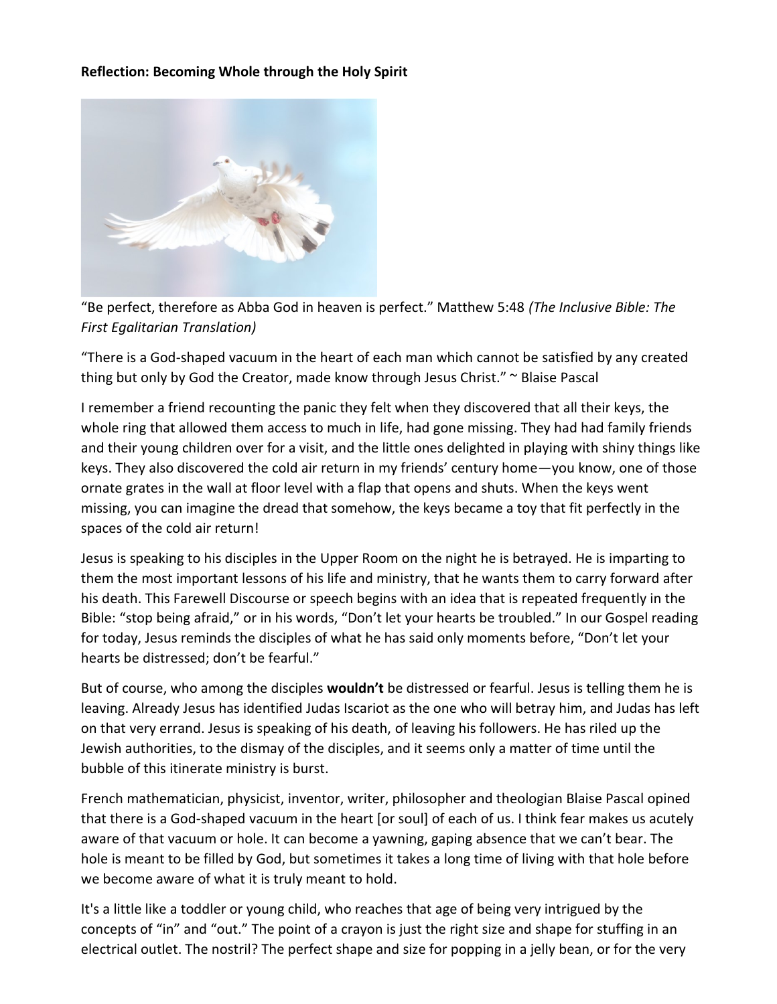# **Reflection: Becoming Whole through the Holy Spirit**



"Be perfect, therefore as Abba God in heaven is perfect." Matthew 5:48 *(The Inclusive Bible: The First Egalitarian Translation)*

"There is a God-shaped vacuum in the heart of each man which cannot be satisfied by any created thing but only by God the Creator, made know through Jesus Christ." ~ Blaise Pascal

I remember a friend recounting the panic they felt when they discovered that all their keys, the whole ring that allowed them access to much in life, had gone missing. They had had family friends and their young children over for a visit, and the little ones delighted in playing with shiny things like keys. They also discovered the cold air return in my friends' century home—you know, one of those ornate grates in the wall at floor level with a flap that opens and shuts. When the keys went missing, you can imagine the dread that somehow, the keys became a toy that fit perfectly in the spaces of the cold air return!

Jesus is speaking to his disciples in the Upper Room on the night he is betrayed. He is imparting to them the most important lessons of his life and ministry, that he wants them to carry forward after his death. This Farewell Discourse or speech begins with an idea that is repeated frequently in the Bible: "stop being afraid," or in his words, "Don't let your hearts be troubled." In our Gospel reading for today, Jesus reminds the disciples of what he has said only moments before, "Don't let your hearts be distressed; don't be fearful."

But of course, who among the disciples **wouldn't** be distressed or fearful. Jesus is telling them he is leaving. Already Jesus has identified Judas Iscariot as the one who will betray him, and Judas has left on that very errand. Jesus is speaking of his death, of leaving his followers. He has riled up the Jewish authorities, to the dismay of the disciples, and it seems only a matter of time until the bubble of this itinerate ministry is burst.

French mathematician, physicist, inventor, writer, philosopher and theologian Blaise Pascal opined that there is a God-shaped vacuum in the heart [or soul] of each of us. I think fear makes us acutely aware of that vacuum or hole. It can become a yawning, gaping absence that we can't bear. The hole is meant to be filled by God, but sometimes it takes a long time of living with that hole before we become aware of what it is truly meant to hold.

It's a little like a toddler or young child, who reaches that age of being very intrigued by the concepts of "in" and "out." The point of a crayon is just the right size and shape for stuffing in an electrical outlet. The nostril? The perfect shape and size for popping in a jelly bean, or for the very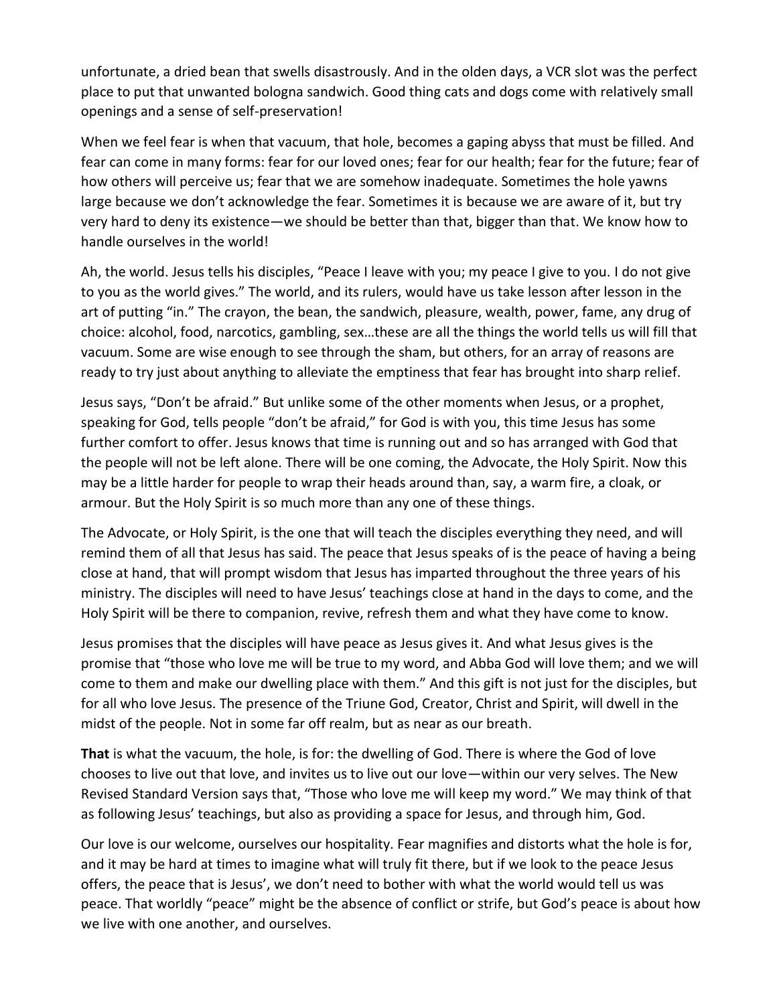unfortunate, a dried bean that swells disastrously. And in the olden days, a VCR slot was the perfect place to put that unwanted bologna sandwich. Good thing cats and dogs come with relatively small openings and a sense of self-preservation!

When we feel fear is when that vacuum, that hole, becomes a gaping abyss that must be filled. And fear can come in many forms: fear for our loved ones; fear for our health; fear for the future; fear of how others will perceive us; fear that we are somehow inadequate. Sometimes the hole yawns large because we don't acknowledge the fear. Sometimes it is because we are aware of it, but try very hard to deny its existence—we should be better than that, bigger than that. We know how to handle ourselves in the world!

Ah, the world. Jesus tells his disciples, "Peace I leave with you; my peace I give to you. I do not give to you as the world gives." The world, and its rulers, would have us take lesson after lesson in the art of putting "in." The crayon, the bean, the sandwich, pleasure, wealth, power, fame, any drug of choice: alcohol, food, narcotics, gambling, sex…these are all the things the world tells us will fill that vacuum. Some are wise enough to see through the sham, but others, for an array of reasons are ready to try just about anything to alleviate the emptiness that fear has brought into sharp relief.

Jesus says, "Don't be afraid." But unlike some of the other moments when Jesus, or a prophet, speaking for God, tells people "don't be afraid," for God is with you, this time Jesus has some further comfort to offer. Jesus knows that time is running out and so has arranged with God that the people will not be left alone. There will be one coming, the Advocate, the Holy Spirit. Now this may be a little harder for people to wrap their heads around than, say, a warm fire, a cloak, or armour. But the Holy Spirit is so much more than any one of these things.

The Advocate, or Holy Spirit, is the one that will teach the disciples everything they need, and will remind them of all that Jesus has said. The peace that Jesus speaks of is the peace of having a being close at hand, that will prompt wisdom that Jesus has imparted throughout the three years of his ministry. The disciples will need to have Jesus' teachings close at hand in the days to come, and the Holy Spirit will be there to companion, revive, refresh them and what they have come to know.

Jesus promises that the disciples will have peace as Jesus gives it. And what Jesus gives is the promise that "those who love me will be true to my word, and Abba God will love them; and we will come to them and make our dwelling place with them." And this gift is not just for the disciples, but for all who love Jesus. The presence of the Triune God, Creator, Christ and Spirit, will dwell in the midst of the people. Not in some far off realm, but as near as our breath.

**That** is what the vacuum, the hole, is for: the dwelling of God. There is where the God of love chooses to live out that love, and invites us to live out our love—within our very selves. The New Revised Standard Version says that, "Those who love me will keep my word." We may think of that as following Jesus' teachings, but also as providing a space for Jesus, and through him, God.

Our love is our welcome, ourselves our hospitality. Fear magnifies and distorts what the hole is for, and it may be hard at times to imagine what will truly fit there, but if we look to the peace Jesus offers, the peace that is Jesus', we don't need to bother with what the world would tell us was peace. That worldly "peace" might be the absence of conflict or strife, but God's peace is about how we live with one another, and ourselves.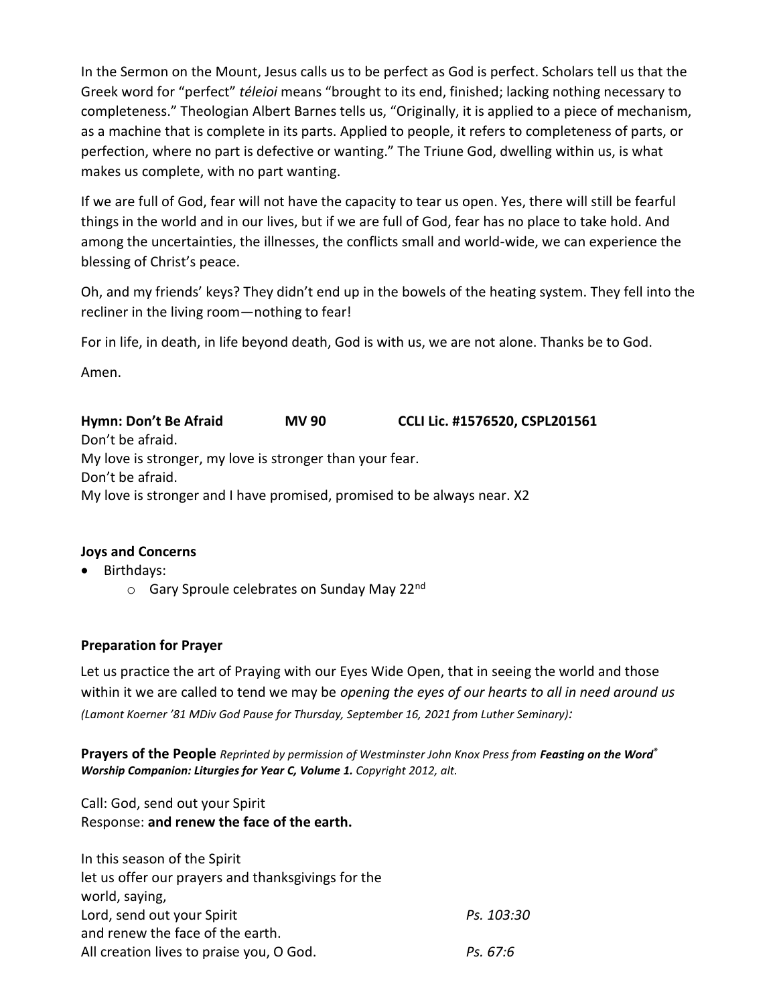In the Sermon on the Mount, Jesus calls us to be perfect as God is perfect. Scholars tell us that the Greek word for "perfect" *téleioi* means "brought to its end, finished; lacking nothing necessary to completeness." Theologian Albert Barnes tells us, "Originally, it is applied to a piece of mechanism, as a machine that is complete in its parts. Applied to people, it refers to completeness of parts, or perfection, where no part is defective or wanting." The Triune God, dwelling within us, is what makes us complete, with no part wanting.

If we are full of God, fear will not have the capacity to tear us open. Yes, there will still be fearful things in the world and in our lives, but if we are full of God, fear has no place to take hold. And among the uncertainties, the illnesses, the conflicts small and world-wide, we can experience the blessing of Christ's peace.

Oh, and my friends' keys? They didn't end up in the bowels of the heating system. They fell into the recliner in the living room—nothing to fear!

For in life, in death, in life beyond death, God is with us, we are not alone. Thanks be to God.

Amen.

**Hymn: Don't Be Afraid MV 90 CCLI Lic. #1576520, CSPL201561** Don't be afraid. My love is stronger, my love is stronger than your fear. Don't be afraid. My love is stronger and I have promised, promised to be always near. X2

# **Joys and Concerns**

- Birthdays:
	- $\circ$  Gary Sproule celebrates on Sunday May 22<sup>nd</sup>

# **Preparation for Prayer**

Let us practice the art of Praying with our Eyes Wide Open, that in seeing the world and those within it we are called to tend we may be *opening the eyes of our hearts to all in need around us (Lamont Koerner '81 MDiv God Pause for Thursday, September 16, 2021 from Luther Seminary):*

**Prayers of the People** *Reprinted by permission of Westminster John Knox Press from Feasting on the Word® Worship Companion: Liturgies for Year C, Volume 1. Copyright 2012, alt.*

Call: God, send out your Spirit Response: **and renew the face of the earth.**

| In this season of the Spirit                       |            |
|----------------------------------------------------|------------|
| let us offer our prayers and thanksgivings for the |            |
| world, saying,                                     |            |
| Lord, send out your Spirit                         | Ps. 103:30 |
| and renew the face of the earth.                   |            |
| All creation lives to praise you, O God.           | Ps. 67:6   |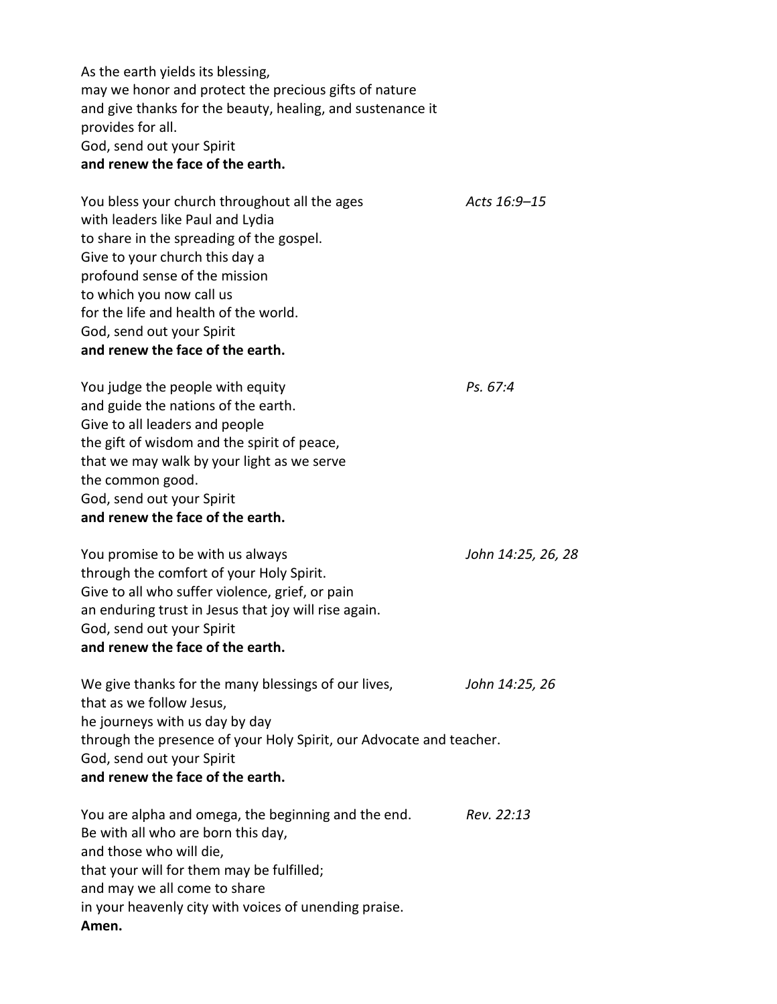As the earth yields its blessing, may we honor and protect the precious gifts of nature and give thanks for the beauty, healing, and sustenance it provides for all. God, send out your Spirit **and renew the face of the earth.**

You bless your church throughout all the ages *Acts 16:9–15* with leaders like Paul and Lydia to share in the spreading of the gospel. Give to your church this day a profound sense of the mission to which you now call us for the life and health of the world. God, send out your Spirit **and renew the face of the earth.**

You judge the people with equity *Ps. 67:4* and guide the nations of the earth. Give to all leaders and people the gift of wisdom and the spirit of peace, that we may walk by your light as we serve the common good. God, send out your Spirit **and renew the face of the earth.**

You promise to be with us always *John 14:25, 26, 28* through the comfort of your Holy Spirit. Give to all who suffer violence, grief, or pain an enduring trust in Jesus that joy will rise again. God, send out your Spirit **and renew the face of the earth.**

We give thanks for the many blessings of our lives, *John 14:25, 26* that as we follow Jesus, he journeys with us day by day through the presence of your Holy Spirit, our Advocate and teacher. God, send out your Spirit **and renew the face of the earth.**

You are alpha and omega, the beginning and the end. *Rev. 22:13* Be with all who are born this day, and those who will die, that your will for them may be fulfilled; and may we all come to share in your heavenly city with voices of unending praise. **Amen.**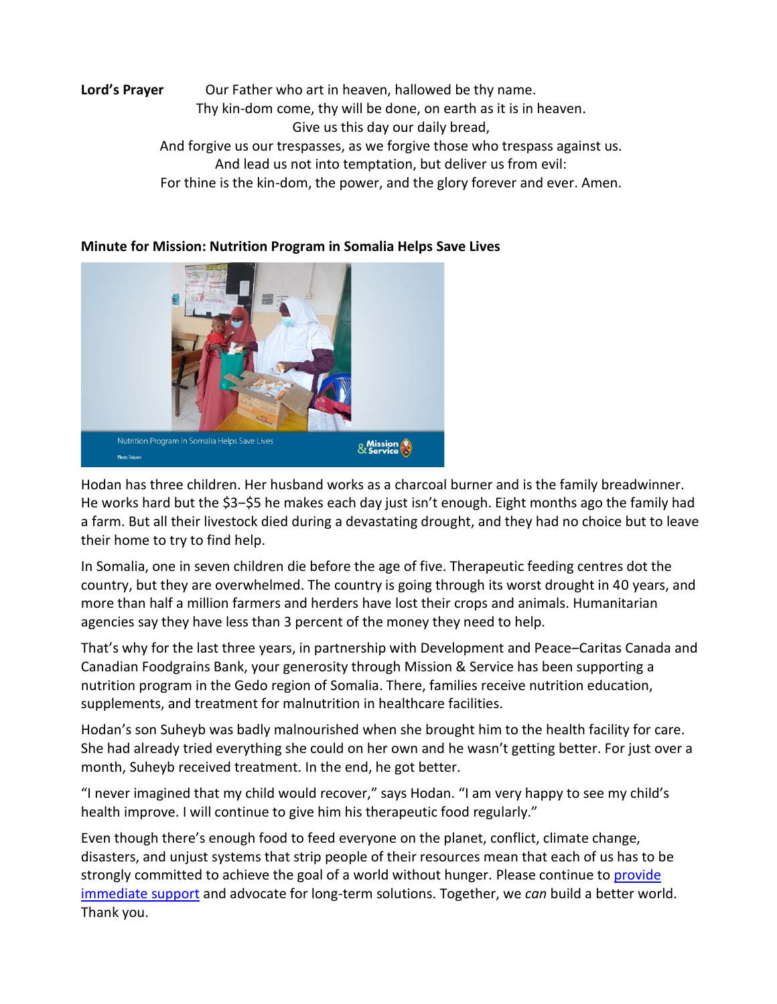# Lord's Prayer **Our Father who art in heaven, hallowed be thy name.** Thy kin-dom come, thy will be done, on earth as it is in heaven. Give us this day our daily bread, And forgive us our trespasses, as we forgive those who trespass against us. And lead us not into temptation, but deliver us from evil: For thine is the kin-dom, the power, and the glory forever and ever. Amen.



# **Minute for Mission: Nutrition Program in Somalia Helps Save Lives**

Hodan has three children. Her husband works as a charcoal burner and is the family breadwinner. He works hard but the \$3-\$5 he makes each day just isn't enough. Eight months ago the family had a farm. But all their livestock died during a devastating drought, and they had no choice but to leave their home to try to find help.

In Somalia, one in seven children die before the age of five. Therapeutic feeding centres dot the country, but they are overwhelmed. The country is going through its worst drought in 40 years, and more than half a million farmers and herders have lost their crops and animals. Humanitarian agencies say they have less than 3 percent of the money they need to help.

That's why for the last three years, in partnership with Development and Peace–Caritas Canada and Canadian Foodgrains Bank, your generosity through Mission & Service has been supporting a nutrition program in the Gedo region of Somalia. There, families receive nutrition education, supplements, and treatment for malnutrition in healthcare facilities.

Hodan's son Suheyb was badly malnourished when she brought him to the health facility for care. She had already tried everything she could on her own and he wasn't getting better. For just over a month, Suheyb received treatment. In the end, he got better.

"I never imagined that my child would recover," says Hodan. "I am very happy to see my child's health improve. I will continue to give him his therapeutic food regularly."

Even though there's enough food to feed everyone on the planet, conflict, climate change, disasters, and unjust systems that strip people of their resources mean that each of us has to be strongly committed to achieve the goal of a world without hunger. Please continue to [provide](https://united-church.ca/donate)  [immediate support](https://united-church.ca/donate) and advocate for long-term solutions. Together, we *can* build a better world. Thank you.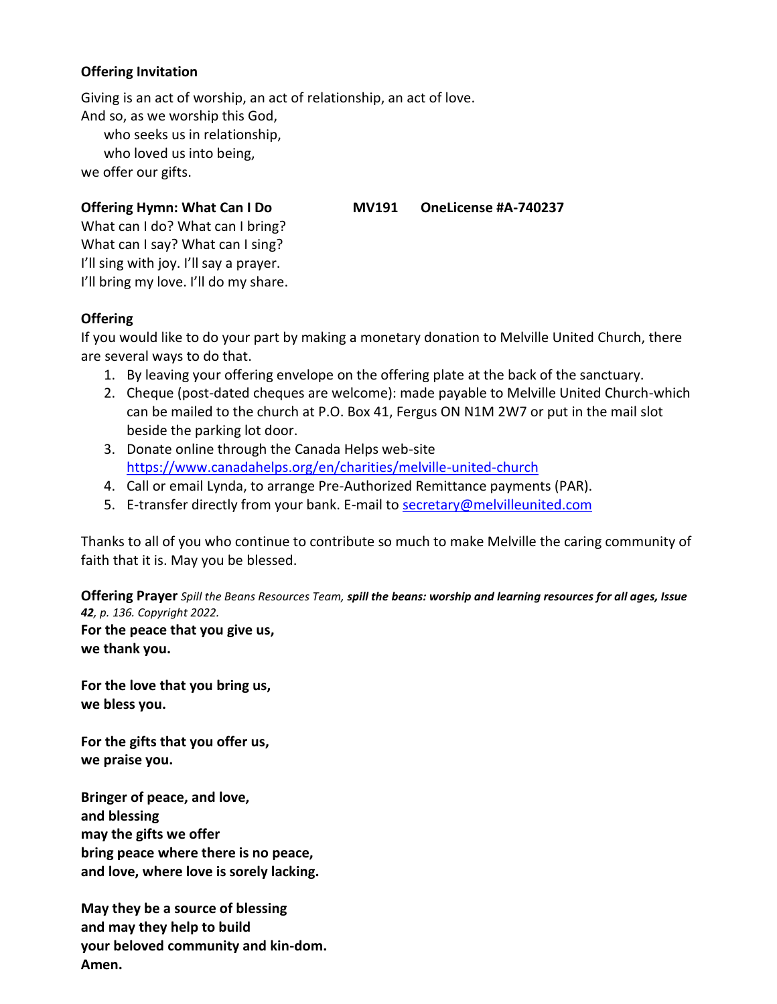# **Offering Invitation**

Giving is an act of worship, an act of relationship, an act of love. And so, as we worship this God,

who seeks us in relationship, who loved us into being,

we offer our gifts.

### **Offering Hymn: What Can I Do MV191 OneLicense #A-740237**

What can I do? What can I bring? What can I say? What can I sing? I'll sing with joy. I'll say a prayer. I'll bring my love. I'll do my share.

#### **Offering**

If you would like to do your part by making a monetary donation to Melville United Church, there are several ways to do that.

- 1. By leaving your offering envelope on the offering plate at the back of the sanctuary.
- 2. Cheque (post-dated cheques are welcome): made payable to Melville United Church-which can be mailed to the church at P.O. Box 41, Fergus ON N1M 2W7 or put in the mail slot beside the parking lot door.
- 3. Donate online through the Canada Helps web-site <https://www.canadahelps.org/en/charities/melville-united-church>
- 4. Call or email Lynda, to arrange Pre-Authorized Remittance payments (PAR).
- 5. E-transfer directly from your bank. E-mail to [secretary@melvilleunited.com](mailto:secretary@melvilleunited.com)

Thanks to all of you who continue to contribute so much to make Melville the caring community of faith that it is. May you be blessed.

**Offering Prayer** *Spill the Beans Resources Team, spill the beans: worship and learning resources for all ages, Issue 42, p. 136. Copyright 2022.* **For the peace that you give us, we thank you.**

**For the love that you bring us, we bless you.**

**For the gifts that you offer us, we praise you.**

**Bringer of peace, and love, and blessing may the gifts we offer bring peace where there is no peace, and love, where love is sorely lacking.**

**May they be a source of blessing and may they help to build your beloved community and kin-dom. Amen.**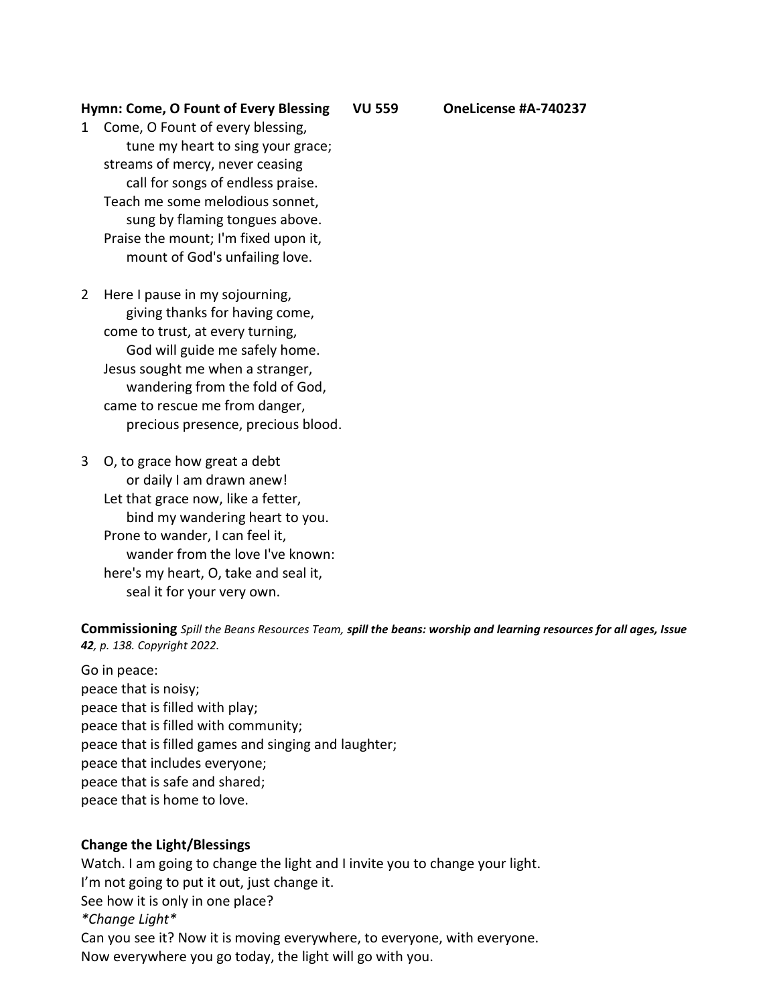#### **Hymn: Come, O Fount of Every Blessing VU 559 OneLicense #A-740237**

- 1 Come, O Fount of every blessing, tune my heart to sing your grace; streams of mercy, never ceasing call for songs of endless praise. Teach me some melodious sonnet, sung by flaming tongues above. Praise the mount; I'm fixed upon it, mount of God's unfailing love.
- 2 Here I pause in my sojourning, giving thanks for having come, come to trust, at every turning, God will guide me safely home. Jesus sought me when a stranger, wandering from the fold of God, came to rescue me from danger, precious presence, precious blood.
- 3 O, to grace how great a debt or daily I am drawn anew! Let that grace now, like a fetter, bind my wandering heart to you. Prone to wander, I can feel it, wander from the love I've known: here's my heart, O, take and seal it, seal it for your very own.

**Commissioning** *Spill the Beans Resources Team, spill the beans: worship and learning resources for all ages, Issue 42, p. 138. Copyright 2022.*

Go in peace: peace that is noisy; peace that is filled with play; peace that is filled with community; peace that is filled games and singing and laughter; peace that includes everyone; peace that is safe and shared; peace that is home to love.

#### **Change the Light/Blessings**

Watch. I am going to change the light and I invite you to change your light. I'm not going to put it out, just change it. See how it is only in one place? *\*Change Light\**  Can you see it? Now it is moving everywhere, to everyone, with everyone. Now everywhere you go today, the light will go with you.